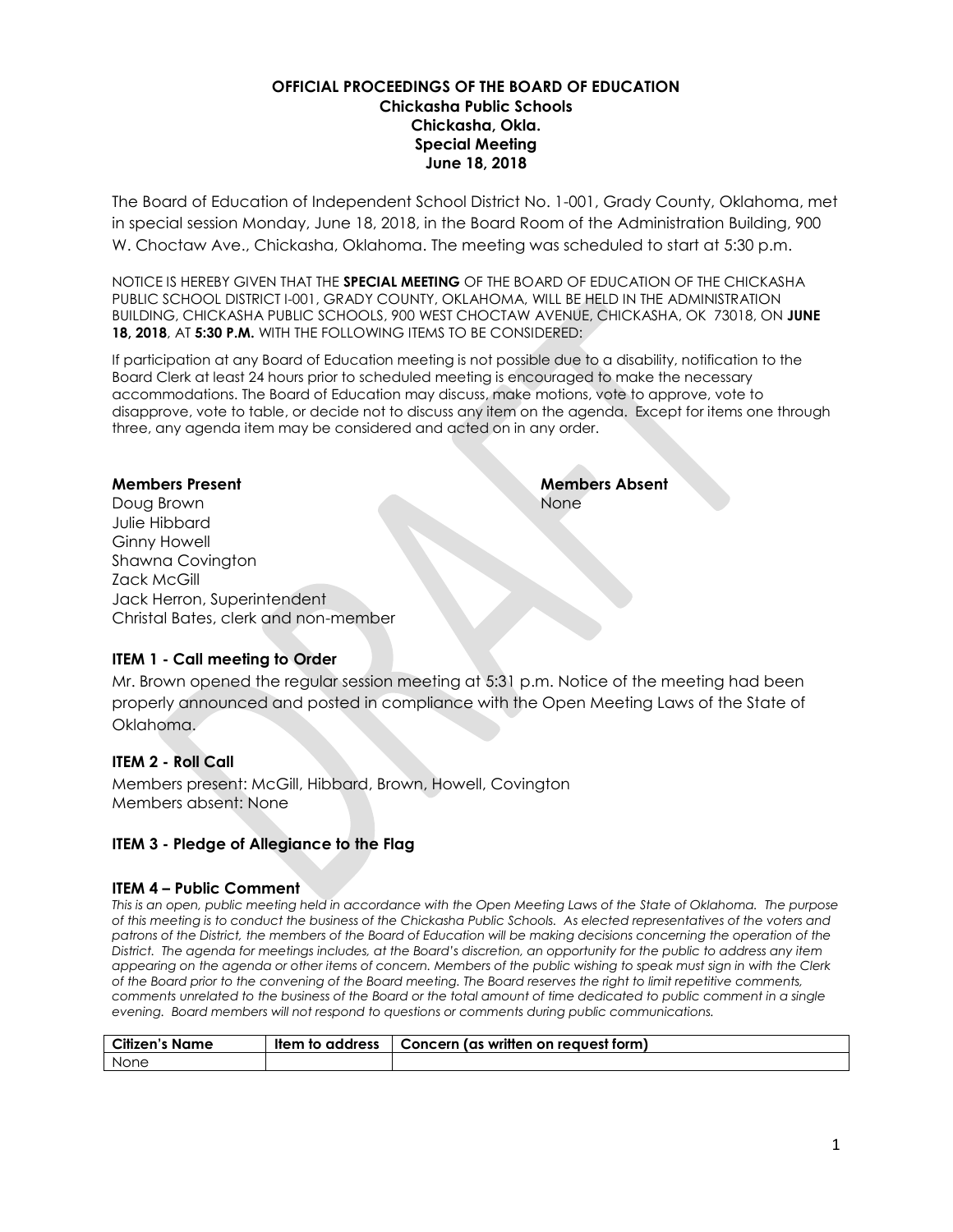#### **OFFICIAL PROCEEDINGS OF THE BOARD OF EDUCATION Chickasha Public Schools Chickasha, Okla. Special Meeting June 18, 2018**

The Board of Education of Independent School District No. 1-001, Grady County, Oklahoma, met in special session Monday, June 18, 2018, in the Board Room of the Administration Building, 900 W. Choctaw Ave., Chickasha, Oklahoma. The meeting was scheduled to start at 5:30 p.m.

NOTICE IS HEREBY GIVEN THAT THE **SPECIAL MEETING** OF THE BOARD OF EDUCATION OF THE CHICKASHA PUBLIC SCHOOL DISTRICT I-001, GRADY COUNTY, OKLAHOMA, WILL BE HELD IN THE ADMINISTRATION BUILDING, CHICKASHA PUBLIC SCHOOLS, 900 WEST CHOCTAW AVENUE, CHICKASHA, OK 73018, ON **JUNE 18, 2018**, AT **5:30 P.M.** WITH THE FOLLOWING ITEMS TO BE CONSIDERED:

If participation at any Board of Education meeting is not possible due to a disability, notification to the Board Clerk at least 24 hours prior to scheduled meeting is encouraged to make the necessary accommodations. The Board of Education may discuss, make motions, vote to approve, vote to disapprove, vote to table, or decide not to discuss any item on the agenda. Except for items one through three, any agenda item may be considered and acted on in any order.

None

**Members Present Members Absent** Doug Brown Julie Hibbard Ginny Howell Shawna Covington Zack McGill Jack Herron, Superintendent Christal Bates, clerk and non-member

## **ITEM 1 - Call meeting to Order**

Mr. Brown opened the regular session meeting at 5:31 p.m. Notice of the meeting had been properly announced and posted in compliance with the Open Meeting Laws of the State of Oklahoma.

## **ITEM 2 - Roll Call**

Members present: McGill, Hibbard, Brown, Howell, Covington Members absent: None

#### **ITEM 3 - Pledge of Allegiance to the Flag**

#### **ITEM 4 – Public Comment**

*This is an open, public meeting held in accordance with the Open Meeting Laws of the State of Oklahoma. The purpose of this meeting is to conduct the business of the Chickasha Public Schools. As elected representatives of the voters and patrons of the District, the members of the Board of Education will be making decisions concerning the operation of the District. The agenda for meetings includes, at the Board's discretion, an opportunity for the public to address any item appearing on the agenda or other items of concern. Members of the public wishing to speak must sign in with the Clerk of the Board prior to the convening of the Board meeting. The Board reserves the right to limit repetitive comments, comments unrelated to the business of the Board or the total amount of time dedicated to public comment in a single evening. Board members will not respond to questions or comments during public communications.*

| <b>Citizen's Name</b> | ltem to address | Concern (as written on reauest form) |
|-----------------------|-----------------|--------------------------------------|
| None                  |                 |                                      |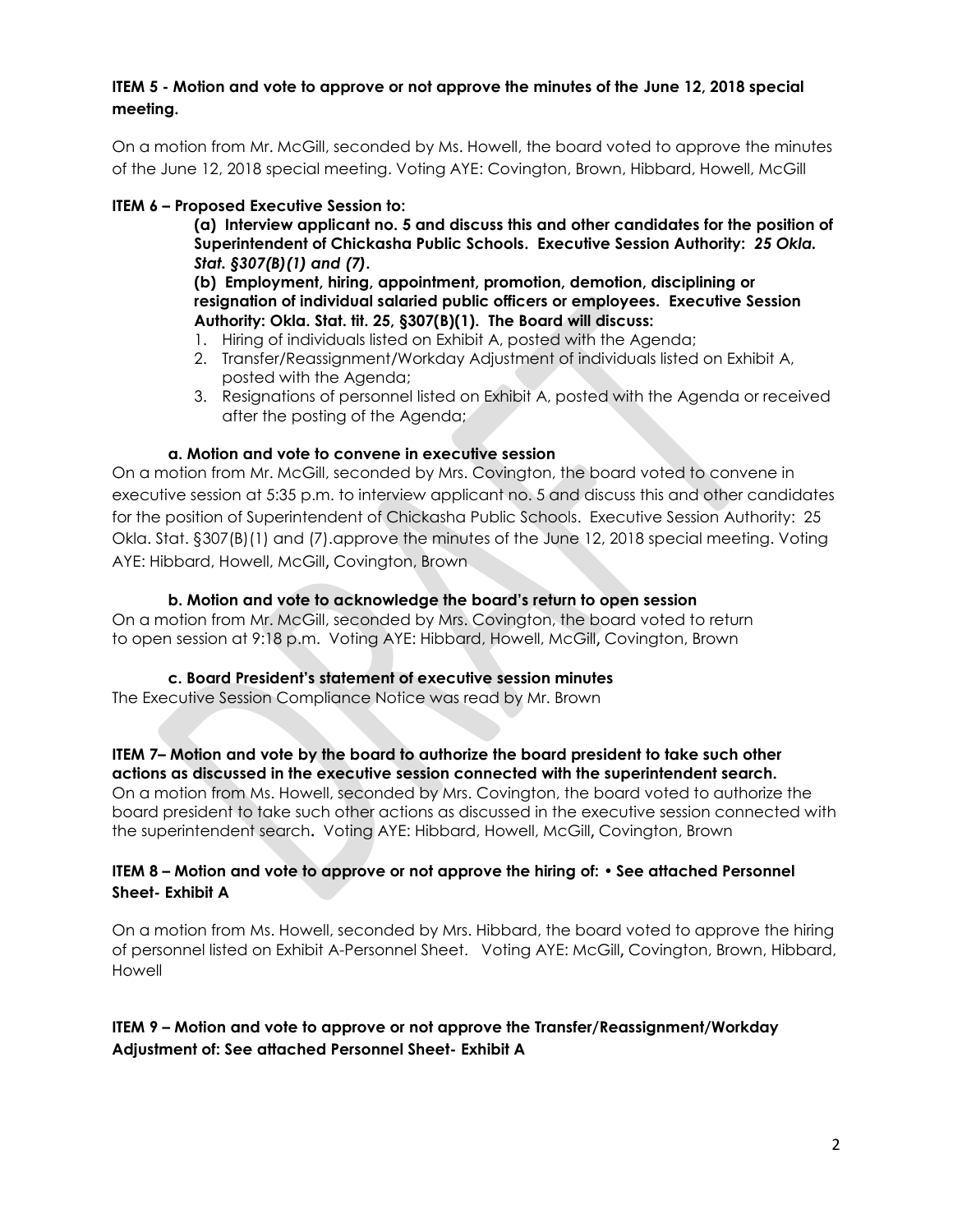#### **ITEM 5 - Motion and vote to approve or not approve the minutes of the June 12, 2018 special meeting.**

On a motion from Mr. McGill, seconded by Ms. Howell, the board voted to approve the minutes of the June 12, 2018 special meeting. Voting AYE: Covington, Brown, Hibbard, Howell, McGill

# **ITEM 6 – Proposed Executive Session to:**

**(a) Interview applicant no. 5 and discuss this and other candidates for the position of Superintendent of Chickasha Public Schools. Executive Session Authority:** *25 Okla. Stat. §307(B)(1) and (7)***.**

**(b) Employment, hiring, appointment, promotion, demotion, disciplining or resignation of individual salaried public officers or employees. Executive Session Authority: Okla. Stat. tit. 25, §307(B)(1). The Board will discuss:**

- 1. Hiring of individuals listed on Exhibit A, posted with the Agenda;
- 2. Transfer/Reassignment/Workday Adjustment of individuals listed on Exhibit A, posted with the Agenda;
- 3. Resignations of personnel listed on Exhibit A, posted with the Agenda or received after the posting of the Agenda;

## **a. Motion and vote to convene in executive session**

On a motion from Mr. McGill, seconded by Mrs. Covington, the board voted to convene in executive session at 5:35 p.m. to interview applicant no. 5 and discuss this and other candidates for the position of Superintendent of Chickasha Public Schools. Executive Session Authority: 25 Okla. Stat. §307(B)(1) and (7).approve the minutes of the June 12, 2018 special meeting. Voting AYE: Hibbard, Howell, McGill, Covington, Brown

## **b. Motion and vote to acknowledge the board's return to open session**

On a motion from Mr. McGill, seconded by Mrs. Covington, the board voted to return to open session at 9:18 p.m. Voting AYE: Hibbard, Howell, McGill, Covington, Brown

## **c. Board President's statement of executive session minutes**

The Executive Session Compliance Notice was read by Mr. Brown

#### **ITEM 7– Motion and vote by the board to authorize the board president to take such other actions as discussed in the executive session connected with the superintendent search.**

On a motion from Ms. Howell, seconded by Mrs. Covington, the board voted to authorize the board president to take such other actions as discussed in the executive session connected with the superintendent search**.** Voting AYE: Hibbard, Howell, McGill, Covington, Brown

## **ITEM 8 – Motion and vote to approve or not approve the hiring of: • See attached Personnel Sheet- Exhibit A**

On a motion from Ms. Howell, seconded by Mrs. Hibbard, the board voted to approve the hiring of personnel listed on Exhibit A-Personnel Sheet. Voting AYE: McGill, Covington, Brown, Hibbard, Howell

# **ITEM 9 – Motion and vote to approve or not approve the Transfer/Reassignment/Workday Adjustment of: See attached Personnel Sheet- Exhibit A**